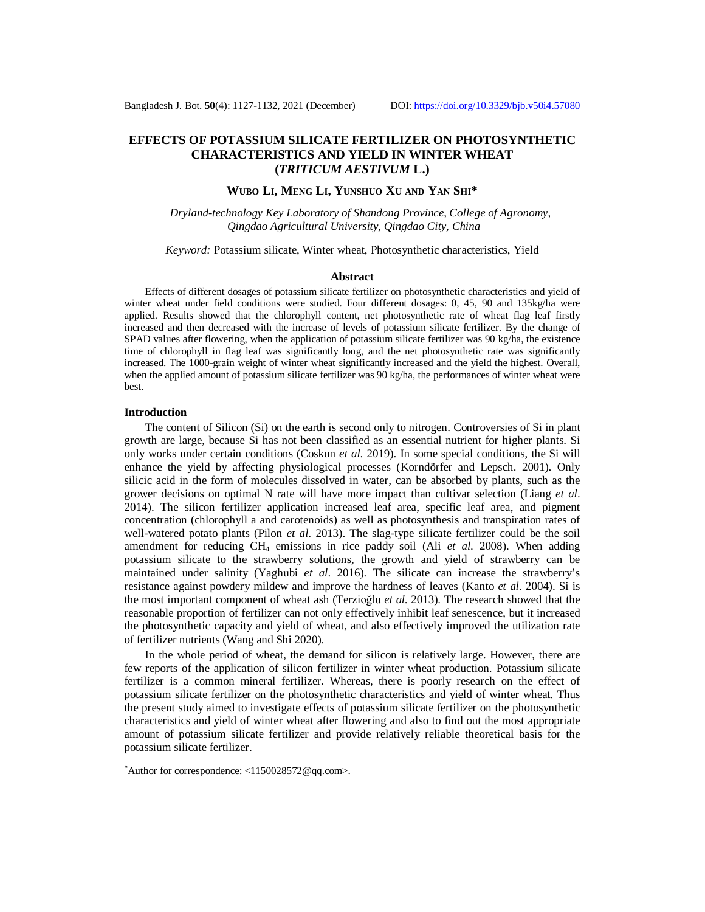# **EFFECTS OF POTASSIUM SILICATE FERTILIZER ON PHOTOSYNTHETIC CHARACTERISTICS AND YIELD IN WINTER WHEAT (***TRITICUM AESTIVUM* **L.)**

**WUBO LI, MENG LI, YUNSHUO XU AND YAN SHI\***

*Dryland-technology Key Laboratory of Shandong Province, College of Agronomy, Qingdao Agricultural University, Qingdao City, China*

*Keyword:* Potassium silicate, Winter wheat, Photosynthetic characteristics, Yield

#### **Abstract**

Effects of different dosages of potassium silicate fertilizer on photosynthetic characteristics and yield of winter wheat under field conditions were studied. Four different dosages: 0, 45, 90 and 135kg/ha were applied. Results showed that the chlorophyll content, net photosynthetic rate of wheat flag leaf firstly increased and then decreased with the increase of levels of potassium silicate fertilizer. By the change of SPAD values after flowering, when the application of potassium silicate fertilizer was 90 kg/ha, the existence time of chlorophyll in flag leaf was significantly long, and the net photosynthetic rate was significantly increased. The 1000-grain weight of winter wheat significantly increased and the yield the highest. Overall, when the applied amount of potassium silicate fertilizer was 90 kg/ha, the performances of winter wheat were best.

#### **Introduction**

The content of Silicon (Si) on the earth is second only to nitrogen. Controversies of Si in plant growth are large, because Si has not been classified as an essential nutrient for higher plants. Si only works under certain conditions (Coskun *et al*. 2019). In some special conditions, the Si will enhance the yield by affecting physiological processes (Korndörfer and Lepsch. 2001). Only silicic acid in the form of molecules dissolved in water, can be absorbed by plants, such as the grower decisions on optimal N rate will have more impact than cultivar selection (Liang *et al*. 2014). The silicon fertilizer application increased leaf area, specific leaf area, and pigment concentration (chlorophyll a and carotenoids) as well as photosynthesis and transpiration rates of well-watered potato plants (Pilon *et al*. 2013). The slag-type silicate fertilizer could be the soil amendment for reducing CH<sup>4</sup> emissions in rice paddy soil (Ali *et al*. 2008). When adding potassium silicate to the strawberry solutions, the growth and yield of strawberry can be maintained under salinity (Yaghubi *et al*. 2016). The silicate can increase the strawberry's resistance against powdery mildew and improve the hardness of leaves (Kanto *et al*. 2004). Si is the most important component of wheat ash (Terzioğlu *et al*. 2013). The research showed that the reasonable proportion of fertilizer can not only effectively inhibit leaf senescence, but it increased the photosynthetic capacity and yield of wheat, and also effectively improved the utilization rate of fertilizer nutrients (Wang and Shi 2020).

In the whole period of wheat, the demand for silicon is relatively large. However, there are few reports of the application of silicon fertilizer in winter wheat production. Potassium silicate fertilizer is a common mineral fertilizer. Whereas, there is poorly research on the effect of potassium silicate fertilizer on the photosynthetic characteristics and yield of winter wheat. Thus the present study aimed to investigate effects of potassium silicate fertilizer on the photosynthetic characteristics and yield of winter wheat after flowering and also to find out the most appropriate amount of potassium silicate fertilizer and provide relatively reliable theoretical basis for the potassium silicate fertilizer.

<sup>\*</sup>Author for correspondence:  $\langle 1150028572@qq.com \rangle$ .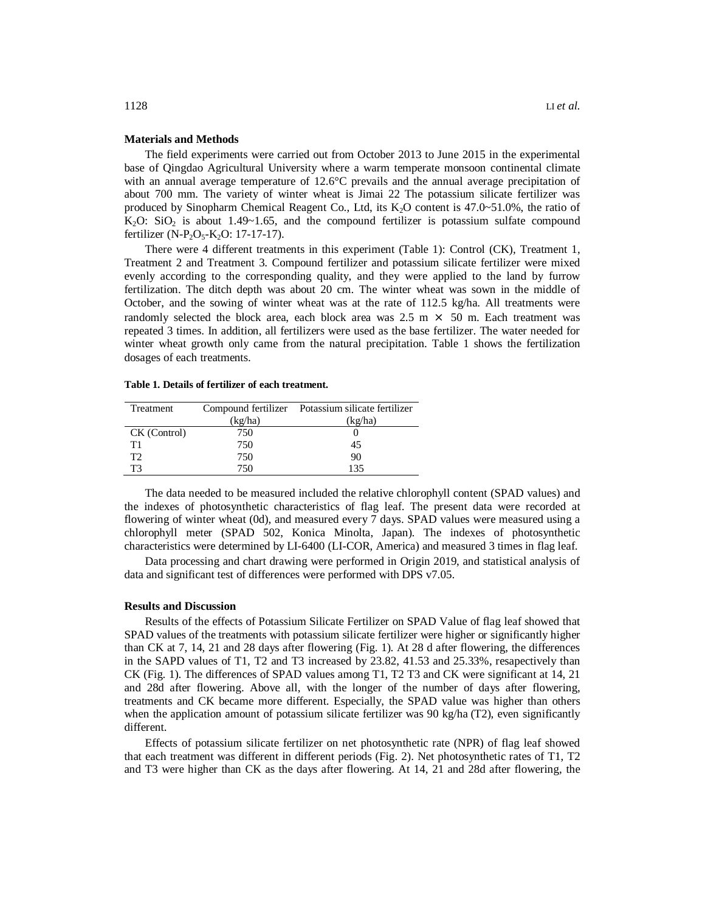#### **Materials and Methods**

The field experiments were carried out from October 2013 to June 2015 in the experimental base of Qingdao Agricultural University where a warm temperate monsoon continental climate with an annual average temperature of 12.6°C prevails and the annual average precipitation of about 700 mm. The variety of winter wheat is Jimai 22 The potassium silicate fertilizer was produced by Sinopharm Chemical Reagent Co., Ltd, its  $K_2O$  content is 47.0~51.0%, the ratio of  $K_2O$ : SiO<sub>2</sub> is about 1.49~1.65, and the compound fertilizer is potassium sulfate compound fertilizer (N-P<sub>2</sub>O<sub>5</sub>-K<sub>2</sub>O: 17-17-17).

There were 4 different treatments in this experiment (Table 1): Control (CK), Treatment 1, Treatment 2 and Treatment 3. Compound fertilizer and potassium silicate fertilizer were mixed evenly according to the corresponding quality, and they were applied to the land by furrow fertilization. The ditch depth was about 20 cm. The winter wheat was sown in the middle of October, and the sowing of winter wheat was at the rate of 112.5 kg/ha. All treatments were randomly selected the block area, each block area was  $2.5 \text{ m} \times 50 \text{ m}$ . Each treatment was repeated 3 times. In addition, all fertilizers were used as the base fertilizer. The water needed for winter wheat growth only came from the natural precipitation. Table 1 shows the fertilization dosages of each treatments.

| Table 1. Details of fertilizer of each treatment. |  |  |  |  |  |  |  |  |  |
|---------------------------------------------------|--|--|--|--|--|--|--|--|--|
|---------------------------------------------------|--|--|--|--|--|--|--|--|--|

|         | Compound fertilizer Potassium silicate fertilizer |
|---------|---------------------------------------------------|
| (kg/ha) | (kg/ha)                                           |
| 750     |                                                   |
| 750     | 45                                                |
| 750     | 90                                                |
| 750     | 135                                               |
|         |                                                   |

The data needed to be measured included the relative chlorophyll content (SPAD values) and the indexes of photosynthetic characteristics of flag leaf. The present data were recorded at flowering of winter wheat (0d), and measured every 7 days. SPAD values were measured using a chlorophyll meter (SPAD 502, Konica Minolta, Japan). The indexes of photosynthetic characteristics were determined by LI-6400 (LI-COR, America) and measured 3 times in flag leaf.

Data processing and chart drawing were performed in Origin 2019, and statistical analysis of data and significant test of differences were performed with DPS v7.05.

#### **Results and Discussion**

Results of the effects of Potassium Silicate Fertilizer on SPAD Value of flag leaf showed that SPAD values of the treatments with potassium silicate fertilizer were higher or significantly higher than CK at 7, 14, 21 and 28 days after flowering (Fig. 1). At 28 d after flowering, the differences in the SAPD values of T1, T2 and T3 increased by 23.82, 41.53 and 25.33%, resapectively than CK (Fig. 1). The differences of SPAD values among T1, T2 T3 and CK were significant at 14, 21 and 28d after flowering. Above all, with the longer of the number of days after flowering, treatments and CK became more different. Especially, the SPAD value was higher than others when the application amount of potassium silicate fertilizer was 90 kg/ha (T2), even significantly different.

Effects of potassium silicate fertilizer on net photosynthetic rate (NPR) of flag leaf showed that each treatment was different in different periods (Fig. 2). Net photosynthetic rates of T1, T2 and T3 were higher than CK as the days after flowering. At 14, 21 and 28d after flowering, the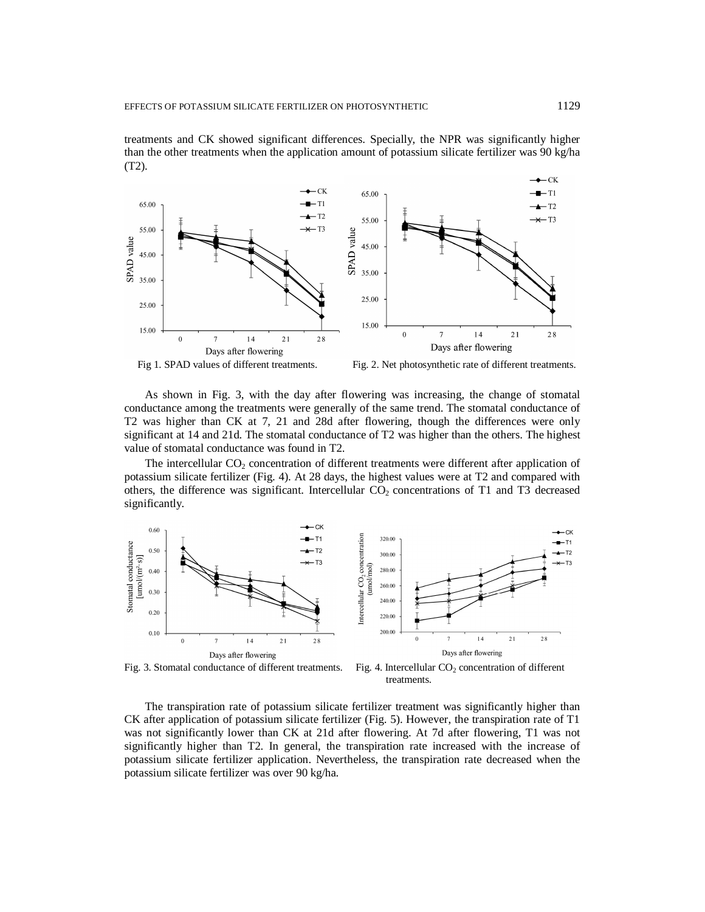



Fig 1. SPAD values of different treatments. Fig. 2. Net photosynthetic rate of different treatments.

As shown in Fig. 3, with the day after flowering was increasing, the change of stomatal conductance among the treatments were generally of the same trend. The stomatal conductance of T2 was higher than CK at 7, 21 and 28d after flowering, though the differences were only significant at 14 and 21d. The stomatal conductance of T2 was higher than the others. The highest value of stomatal conductance was found in T2.

The intercellular  $CO<sub>2</sub>$  concentration of different treatments were different after application of potassium silicate fertilizer (Fig. 4). At 28 days, the highest values were at T2 and compared with others, the difference was significant. Intercellular  $CO<sub>2</sub>$  concentrations of T1 and T3 decreased significantly.



Fig. 3. Stomatal conductance of different treatments. Fig. 4. Intercellular  $CO<sub>2</sub>$  concentration of different treatments.

The transpiration rate of potassium silicate fertilizer treatment was significantly higher than CK after application of potassium silicate fertilizer (Fig. 5). However, the transpiration rate of T1 was not significantly lower than CK at 21d after flowering. At 7d after flowering, T1 was not significantly higher than T2. In general, the transpiration rate increased with the increase of potassium silicate fertilizer application. Nevertheless, the transpiration rate decreased when the potassium silicate fertilizer was over 90 kg/ha.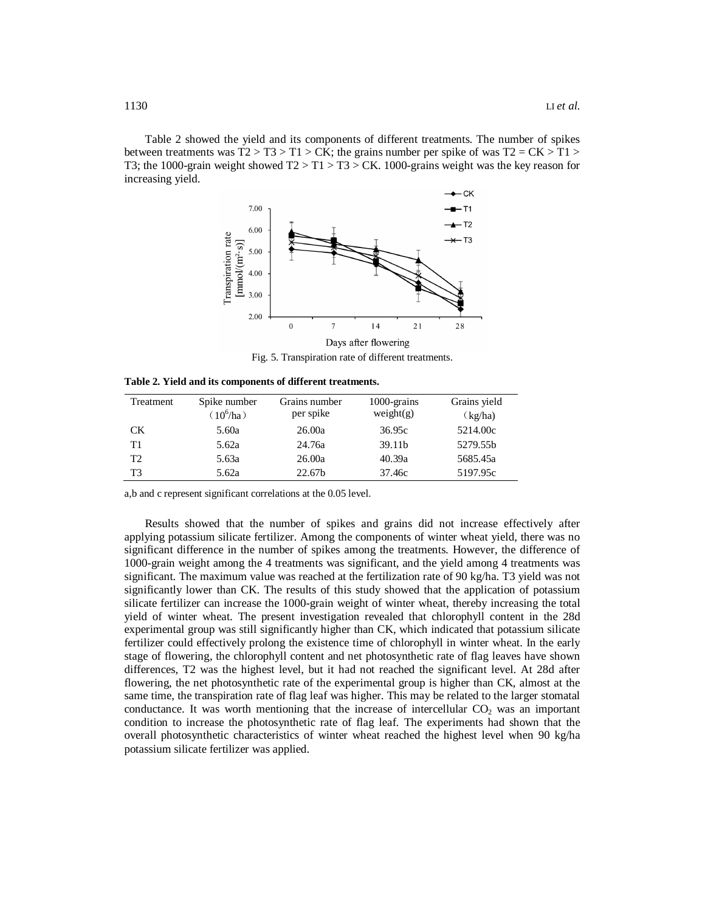Table 2 showed the yield and its components of different treatments. The number of spikes between treatments was  $T2 > T3 > T1 > CK$ ; the grains number per spike of was  $T2 = CK > T1 >$ T3; the 1000-grain weight showed  $T2 > T1 > T3 > CK$ . 1000-grains weight was the key reason for increasing yield.



Fig. 5. Transpiration rate of different treatments.

**Table 2. Yield and its components of different treatments.**

| Treatment      | Spike number<br>$(10^6$ /ha) | Grains number<br>per spike | 1000-grains<br>weight(g) | Grains yield<br>(kg/ha) |
|----------------|------------------------------|----------------------------|--------------------------|-------------------------|
| CK.            | 5.60a                        | 26.00a                     | 36.95c                   | 5214.00c                |
| T1             | 5.62a                        | 24.76a                     | 39.11b                   | 5279.55b                |
| T <sub>2</sub> | 5.63a                        | 26.00a                     | 40.39a                   | 5685.45a                |
| T3             | 5.62a                        | 22.67b                     | 37.46c                   | 5197.95c                |

a,b and c represent significant correlations at the 0.05 level.

Results showed that the number of spikes and grains did not increase effectively after applying potassium silicate fertilizer. Among the components of winter wheat yield, there was no significant difference in the number of spikes among the treatments. However, the difference of 1000-grain weight among the 4 treatments was significant, and the yield among 4 treatments was significant. The maximum value was reached at the fertilization rate of 90 kg/ha. T3 yield was not significantly lower than CK. The results of this study showed that the application of potassium silicate fertilizer can increase the 1000-grain weight of winter wheat, thereby increasing the total yield of winter wheat. The present investigation revealed that chlorophyll content in the 28d experimental group was still significantly higher than CK, which indicated that potassium silicate fertilizer could effectively prolong the existence time of chlorophyll in winter wheat. In the early stage of flowering, the chlorophyll content and net photosynthetic rate of flag leaves have shown differences, T2 was the highest level, but it had not reached the significant level. At 28d after flowering, the net photosynthetic rate of the experimental group is higher than CK, almost at the same time, the transpiration rate of flag leaf was higher. This may be related to the larger stomatal conductance. It was worth mentioning that the increase of intercellular  $CO<sub>2</sub>$  was an important condition to increase the photosynthetic rate of flag leaf. The experiments had shown that the overall photosynthetic characteristics of winter wheat reached the highest level when 90 kg/ha potassium silicate fertilizer was applied.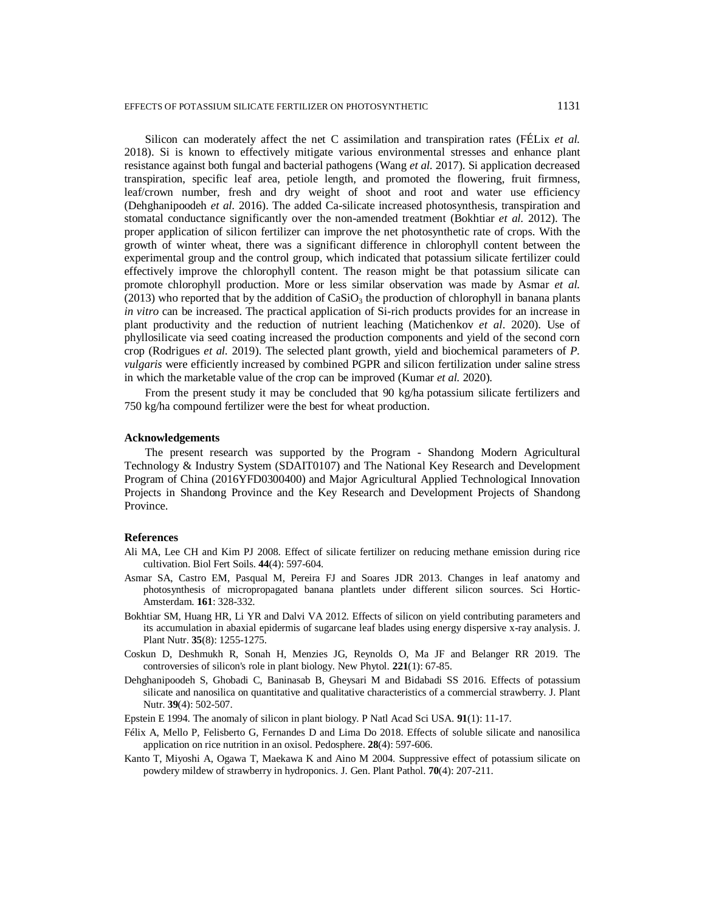Silicon can moderately affect the net C assimilation and transpiration rates (FÉLix *et al.* 2018). Si is known to effectively mitigate various environmental stresses and enhance plant resistance against both fungal and bacterial pathogens (Wang *et al.* 2017). Si application decreased transpiration, specific leaf area, petiole length, and promoted the flowering, fruit firmness, leaf/crown number, fresh and dry weight of shoot and root and water use efficiency (Dehghanipoodeh *et al.* 2016). The added Ca-silicate increased photosynthesis, transpiration and stomatal conductance significantly over the non-amended treatment (Bokhtiar *et al.* 2012). The proper application of silicon fertilizer can improve the net photosynthetic rate of crops. With the growth of winter wheat, there was a significant difference in chlorophyll content between the experimental group and the control group, which indicated that potassium silicate fertilizer could effectively improve the chlorophyll content. The reason might be that potassium silicate can promote chlorophyll production. More or less similar observation was made by Asmar *et al.* (2013) who reported that by the addition of  $CaSiO<sub>3</sub>$  the production of chlorophyll in banana plants *in vitro* can be increased. The practical application of Si-rich products provides for an increase in plant productivity and the reduction of nutrient leaching (Matichenkov *et al*. 2020). Use of phyllosilicate via seed coating increased the production components and yield of the second corn crop (Rodrigues *et al.* 2019). The selected plant growth, yield and biochemical parameters of *P. vulgaris* were efficiently increased by combined PGPR and silicon fertilization under saline stress in which the marketable value of the crop can be improved (Kumar *et al.* 2020).

From the present study it may be concluded that 90 kg/ha potassium silicate fertilizers and 750 kg/ha compound fertilizer were the best for wheat production.

## **Acknowledgements**

The present research was supported by the Program - Shandong Modern Agricultural Technology & Industry System (SDAIT0107) and The National Key Research and Development Program of China (2016YFD0300400) and Major Agricultural Applied Technological Innovation Projects in Shandong Province and the Key Research and Development Projects of Shandong Province.

## **References**

- Ali MA, Lee CH and Kim PJ 2008. Effect of silicate fertilizer on reducing methane emission during rice cultivation. Biol Fert Soils. **44**(4): 597-604.
- Asmar SA, Castro EM, Pasqual M, Pereira FJ and Soares JDR 2013. Changes in leaf anatomy and photosynthesis of micropropagated banana plantlets under different silicon sources. Sci Hortic-Amsterdam. **161**: 328-332.
- Bokhtiar SM, Huang HR, Li YR and Dalvi VA 2012. Effects of silicon on yield contributing parameters and its accumulation in abaxial epidermis of sugarcane leaf blades using energy dispersive x-ray analysis. J. Plant Nutr. **35**(8): 1255-1275.
- Coskun D, Deshmukh R, Sonah H, Menzies JG, Reynolds O, Ma JF and Belanger RR 2019. The controversies of silicon's role in plant biology. New Phytol. **221**(1): 67-85.
- Dehghanipoodeh S, Ghobadi C, Baninasab B, Gheysari M and Bidabadi SS 2016. Effects of potassium silicate and nanosilica on quantitative and qualitative characteristics of a commercial strawberry. J. Plant Nutr. **39**(4): 502-507.
- Epstein E 1994. The anomaly of silicon in plant biology. P Natl Acad Sci USA. **91**(1): 11-17.
- Félix A, Mello P, Felisberto G, Fernandes D and Lima Do 2018. Effects of soluble silicate and nanosilica application on rice nutrition in an oxisol. Pedosphere. **28**(4): 597-606.
- Kanto T, Miyoshi A, Ogawa T, Maekawa K and Aino M 2004. Suppressive effect of potassium silicate on powdery mildew of strawberry in hydroponics. J. Gen. Plant Pathol. **70**(4): 207-211.